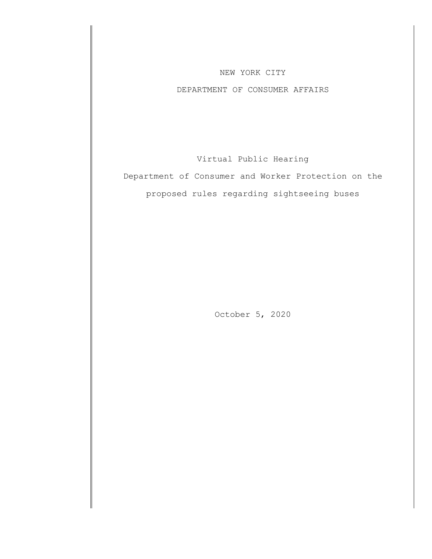## NEW YORK CITY

## DEPARTMENT OF CONSUMER AFFAIRS

Virtual Public Hearing

Department of Consumer and Worker Protection on the proposed rules regarding sightseeing buses

October 5, 2020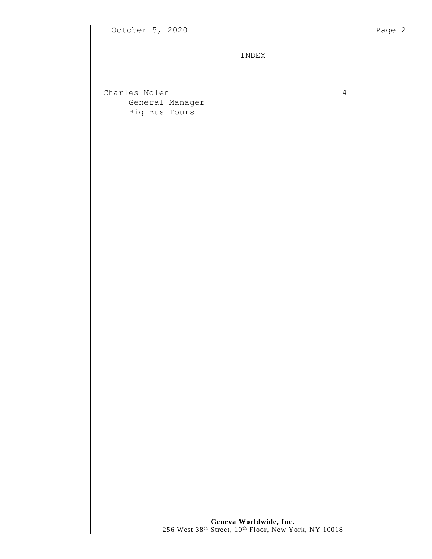INDEX

Charles Nolen 4 General Manager Big Bus Tours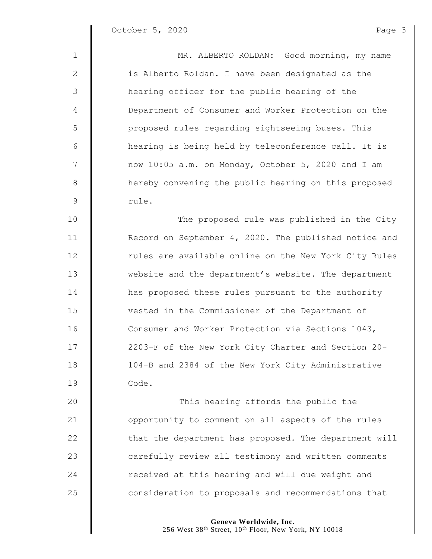| $\mathbf{1}$    | MR. ALBERTO ROLDAN: Good morning, my name             |
|-----------------|-------------------------------------------------------|
| 2               | is Alberto Roldan. I have been designated as the      |
| 3               | hearing officer for the public hearing of the         |
| 4               | Department of Consumer and Worker Protection on the   |
| 5               | proposed rules regarding sightseeing buses. This      |
| $6\,$           | hearing is being held by teleconference call. It is   |
| $7\phantom{.0}$ | now 10:05 a.m. on Monday, October 5, 2020 and I am    |
| 8               | hereby convening the public hearing on this proposed  |
| $\mathsf 9$     | rule.                                                 |
| 10              | The proposed rule was published in the City           |
| 11              | Record on September 4, 2020. The published notice and |
| 12              | rules are available online on the New York City Rules |
| 13              | website and the department's website. The department  |
| 14              | has proposed these rules pursuant to the authority    |
| 15              | vested in the Commissioner of the Department of       |
| 16              | Consumer and Worker Protection via Sections 1043,     |
| 17              | 2203-F of the New York City Charter and Section 20-   |
| 18              | 104-B and 2384 of the New York City Administrative    |
| 19              | Code.                                                 |
| 20              | This hearing affords the public the                   |
| 21              | opportunity to comment on all aspects of the rules    |
| 22              | that the department has proposed. The department will |
| 23              | carefully review all testimony and written comments   |
| 24              | received at this hearing and will due weight and      |

**consideration** to proposals and recommendations that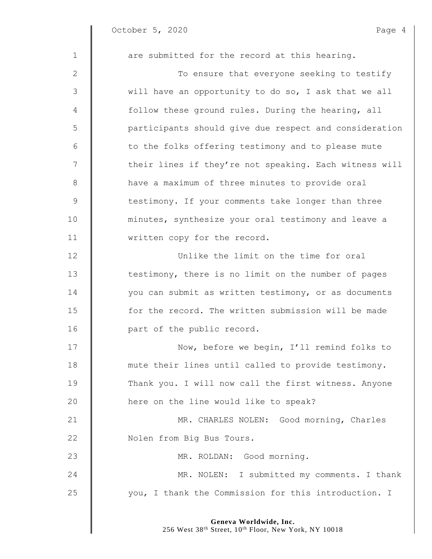$\begin{array}{c} \hline \end{array}$ 

| $\mathbf{1}$   | are submitted for the record at this hearing.          |
|----------------|--------------------------------------------------------|
| 2              | To ensure that everyone seeking to testify             |
| 3              | will have an opportunity to do so, I ask that we all   |
| 4              | follow these ground rules. During the hearing, all     |
| 5              | participants should give due respect and consideration |
| 6              | to the folks offering testimony and to please mute     |
| $\overline{7}$ | their lines if they're not speaking. Each witness will |
| 8              | have a maximum of three minutes to provide oral        |
| 9              | testimony. If your comments take longer than three     |
| 10             | minutes, synthesize your oral testimony and leave a    |
| 11             | written copy for the record.                           |
| 12             | Unlike the limit on the time for oral                  |
| 13             | testimony, there is no limit on the number of pages    |
| 14             | you can submit as written testimony, or as documents   |
| 15             | for the record. The written submission will be made    |
| 16             | part of the public record.                             |
| 17             | Now, before we begin, I'll remind folks to             |
| 18             | mute their lines until called to provide testimony.    |
| 19             | Thank you. I will now call the first witness. Anyone   |
| 20             | here on the line would like to speak?                  |
| 21             | MR. CHARLES NOLEN: Good morning, Charles               |
| 22             | Nolen from Big Bus Tours.                              |
| 23             | MR. ROLDAN: Good morning.                              |
| 24             | MR. NOLEN: I submitted my comments. I thank            |
| 25             | you, I thank the Commission for this introduction. I   |
|                |                                                        |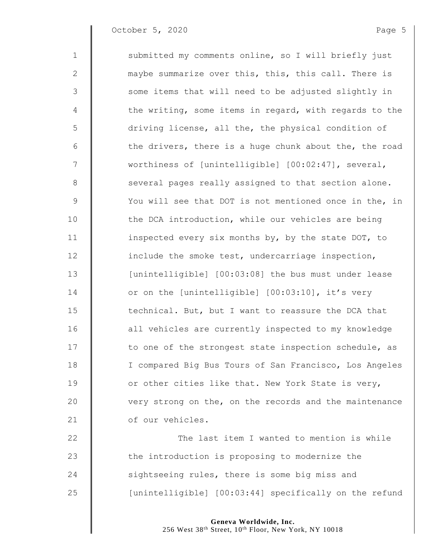October 5, 2020 Page 5

| $\mathbf 1$     | submitted my comments online, so I will briefly just   |
|-----------------|--------------------------------------------------------|
| $\mathbf{2}$    | maybe summarize over this, this, this call. There is   |
| $\mathfrak{Z}$  | some items that will need to be adjusted slightly in   |
| 4               | the writing, some items in regard, with regards to the |
| 5               | driving license, all the, the physical condition of    |
| 6               | the drivers, there is a huge chunk about the, the road |
| $7\phantom{.0}$ | worthiness of [unintelligible] [00:02:47], several,    |
| $8\,$           | several pages really assigned to that section alone.   |
| $\mathsf 9$     | You will see that DOT is not mentioned once in the, in |
| 10              | the DCA introduction, while our vehicles are being     |
| 11              | inspected every six months by, by the state DOT, to    |
| 12              | include the smoke test, undercarriage inspection,      |
| 13              | [unintelligible] [00:03:08] the bus must under lease   |
| 14              | or on the [unintelligible] [00:03:10], it's very       |
| 15              | technical. But, but I want to reassure the DCA that    |
| 16              | all vehicles are currently inspected to my knowledge   |
| 17              | to one of the strongest state inspection schedule, as  |
| 18              | I compared Big Bus Tours of San Francisco, Los Angeles |
| 19              | or other cities like that. New York State is very,     |
| 20              | very strong on the, on the records and the maintenance |
| 21              | of our vehicles.                                       |
| 22              | The last item I wanted to mention is while             |
| 23              | the introduction is proposing to modernize the         |
| 24              | sightseeing rules, there is some big miss and          |
| 25              | [unintelligible] [00:03:44] specifically on the refund |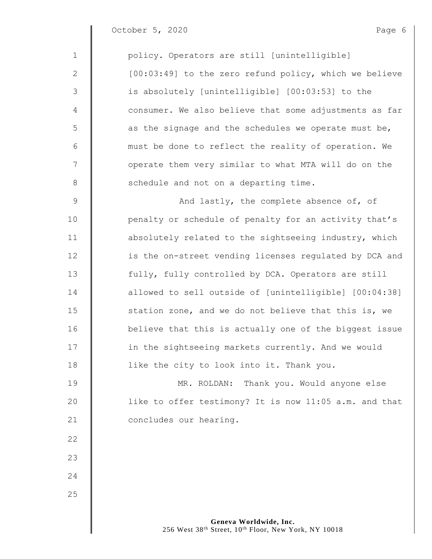October 5, 2020 Page 6

1 | policy. Operators are still [unintelligible] 2 | [00:03:49] to the zero refund policy, which we believe 3 || is absolutely [unintelligible] [00:03:53] to the 4 | consumer. We also believe that some adjustments as far  $5 \parallel$  as the signage and the schedules we operate must be, 6 must be done to reflect the reality of operation. We 7 || operate them very similar to what MTA will do on the 8 | schedule and not on a departing time. 9 | And lastly, the complete absence of, of 10 | penalty or schedule of penalty for an activity that's 11 | absolutely related to the sightseeing industry, which 12 | is the on-street vending licenses regulated by DCA and 13 fully, fully controlled by DCA. Operators are still 14 **decisy** allowed to sell outside of [unintelligible] [00:04:38] 15 **S** station zone, and we do not believe that this is, we 16 **b**elieve that this is actually one of the biggest issue 17 **in the sightseeing markets currently. And we would** 18 **l** like the city to look into it. Thank you. 19 MR. ROLDAN: Thank you. Would anyone else 20 | like to offer testimony? It is now 11:05 a.m. and that 21 **Concludes our hearing.** 22 23 24 25